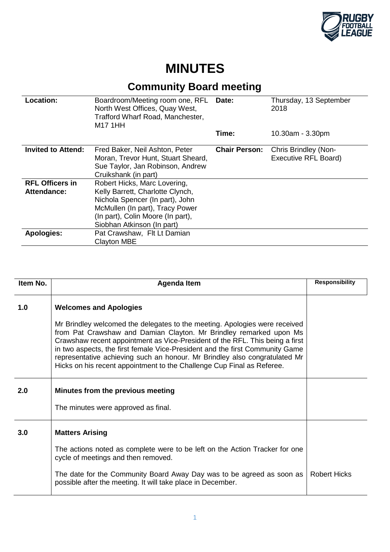

## **MINUTES**

## **Community Board meeting**

| Location:                             | Boardroom/Meeting room one, RFL<br>North West Offices, Quay West,<br>Trafford Wharf Road, Manchester,<br>M17 1HH                                                                                          | Date:                | Thursday, 13 September<br>2018               |
|---------------------------------------|-----------------------------------------------------------------------------------------------------------------------------------------------------------------------------------------------------------|----------------------|----------------------------------------------|
|                                       |                                                                                                                                                                                                           | Time:                | $10.30am - 3.30pm$                           |
| <b>Invited to Attend:</b>             | Fred Baker, Neil Ashton, Peter<br>Moran, Trevor Hunt, Stuart Sheard,<br>Sue Taylor, Jan Robinson, Andrew<br>Cruikshank (in part)                                                                          | <b>Chair Person:</b> | Chris Brindley (Non-<br>Executive RFL Board) |
| <b>RFL Officers in</b><br>Attendance: | Robert Hicks, Marc Lovering,<br>Kelly Barrett, Charlotte Clynch,<br>Nichola Spencer (In part), John<br>McMullen (In part), Tracy Power<br>(In part), Colin Moore (In part),<br>Siobhan Atkinson (In part) |                      |                                              |
| <b>Apologies:</b>                     | Pat Crawshaw, Flt Lt Damian<br><b>Clayton MBE</b>                                                                                                                                                         |                      |                                              |

| Item No. | <b>Agenda Item</b>                                                                                                                                                                                                                                                                                                                                                                                                                                                       | <b>Responsibility</b> |
|----------|--------------------------------------------------------------------------------------------------------------------------------------------------------------------------------------------------------------------------------------------------------------------------------------------------------------------------------------------------------------------------------------------------------------------------------------------------------------------------|-----------------------|
| 1.0      | <b>Welcomes and Apologies</b>                                                                                                                                                                                                                                                                                                                                                                                                                                            |                       |
|          | Mr Brindley welcomed the delegates to the meeting. Apologies were received<br>from Pat Crawshaw and Damian Clayton. Mr Brindley remarked upon Ms<br>Crawshaw recent appointment as Vice-President of the RFL. This being a first<br>in two aspects, the first female Vice-President and the first Community Game<br>representative achieving such an honour. Mr Brindley also congratulated Mr<br>Hicks on his recent appointment to the Challenge Cup Final as Referee. |                       |
| 2.0      | Minutes from the previous meeting                                                                                                                                                                                                                                                                                                                                                                                                                                        |                       |
|          | The minutes were approved as final.                                                                                                                                                                                                                                                                                                                                                                                                                                      |                       |
| 3.0      | <b>Matters Arising</b>                                                                                                                                                                                                                                                                                                                                                                                                                                                   |                       |
|          | The actions noted as complete were to be left on the Action Tracker for one<br>cycle of meetings and then removed.                                                                                                                                                                                                                                                                                                                                                       |                       |
|          | The date for the Community Board Away Day was to be agreed as soon as<br>possible after the meeting. It will take place in December.                                                                                                                                                                                                                                                                                                                                     | <b>Robert Hicks</b>   |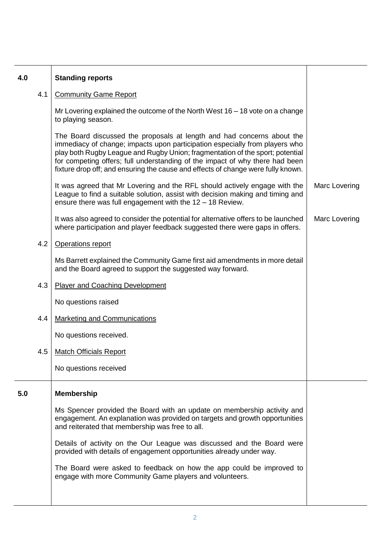| 4.0 | <b>Standing reports</b>                                                                                                                                                                                                                                                                                                                                                                                    |               |
|-----|------------------------------------------------------------------------------------------------------------------------------------------------------------------------------------------------------------------------------------------------------------------------------------------------------------------------------------------------------------------------------------------------------------|---------------|
| 4.1 | <b>Community Game Report</b>                                                                                                                                                                                                                                                                                                                                                                               |               |
|     | Mr Lovering explained the outcome of the North West $16 - 18$ vote on a change<br>to playing season.                                                                                                                                                                                                                                                                                                       |               |
|     | The Board discussed the proposals at length and had concerns about the<br>immediacy of change; impacts upon participation especially from players who<br>play both Rugby League and Rugby Union; fragmentation of the sport; potential<br>for competing offers; full understanding of the impact of why there had been<br>fixture drop off; and ensuring the cause and effects of change were fully known. |               |
|     | It was agreed that Mr Lovering and the RFL should actively engage with the<br>League to find a suitable solution, assist with decision making and timing and<br>ensure there was full engagement with the $12 - 18$ Review.                                                                                                                                                                                | Marc Lovering |
|     | It was also agreed to consider the potential for alternative offers to be launched<br>where participation and player feedback suggested there were gaps in offers.                                                                                                                                                                                                                                         | Marc Lovering |
| 4.2 | Operations report                                                                                                                                                                                                                                                                                                                                                                                          |               |
|     | Ms Barrett explained the Community Game first aid amendments in more detail<br>and the Board agreed to support the suggested way forward.                                                                                                                                                                                                                                                                  |               |
| 4.3 | <b>Player and Coaching Development</b>                                                                                                                                                                                                                                                                                                                                                                     |               |
|     | No questions raised                                                                                                                                                                                                                                                                                                                                                                                        |               |
| 4.4 | <b>Marketing and Communications</b>                                                                                                                                                                                                                                                                                                                                                                        |               |
|     | No questions received.                                                                                                                                                                                                                                                                                                                                                                                     |               |
| 4.5 | <b>Match Officials Report</b>                                                                                                                                                                                                                                                                                                                                                                              |               |
|     | No questions received                                                                                                                                                                                                                                                                                                                                                                                      |               |
| 5.0 | <b>Membership</b>                                                                                                                                                                                                                                                                                                                                                                                          |               |
|     | Ms Spencer provided the Board with an update on membership activity and<br>engagement. An explanation was provided on targets and growth opportunities<br>and reiterated that membership was free to all.                                                                                                                                                                                                  |               |
|     | Details of activity on the Our League was discussed and the Board were<br>provided with details of engagement opportunities already under way.                                                                                                                                                                                                                                                             |               |
|     | The Board were asked to feedback on how the app could be improved to<br>engage with more Community Game players and volunteers.                                                                                                                                                                                                                                                                            |               |
|     |                                                                                                                                                                                                                                                                                                                                                                                                            |               |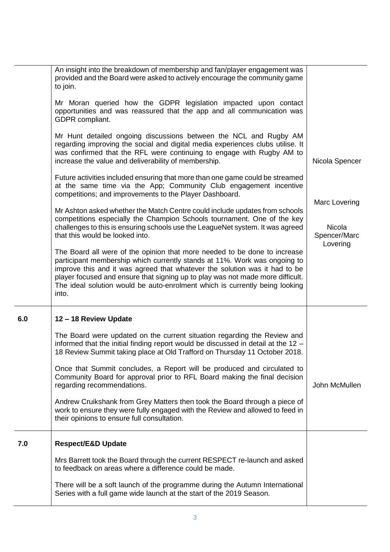|     | An insight into the breakdown of membership and fan/player engagement was<br>provided and the Board were asked to actively encourage the community game<br>to join.                                                                                                                                                                                                                                            |                                                     |
|-----|----------------------------------------------------------------------------------------------------------------------------------------------------------------------------------------------------------------------------------------------------------------------------------------------------------------------------------------------------------------------------------------------------------------|-----------------------------------------------------|
|     | Mr Moran queried how the GDPR legislation impacted upon contact<br>opportunities and was reassured that the app and all communication was<br>GDPR compliant.                                                                                                                                                                                                                                                   |                                                     |
|     | Mr Hunt detailed ongoing discussions between the NCL and Rugby AM<br>regarding improving the social and digital media experiences clubs utilise. It<br>was confirmed that the RFL were continuing to engage with Rugby AM to<br>increase the value and deliverability of membership.                                                                                                                           | Nicola Spencer                                      |
|     | Future activities included ensuring that more than one game could be streamed<br>at the same time via the App; Community Club engagement incentive<br>competitions; and improvements to the Player Dashboard.                                                                                                                                                                                                  |                                                     |
|     | Mr Ashton asked whether the Match Centre could include updates from schools<br>competitions especially the Champion Schools tournament. One of the key<br>challenges to this is ensuring schools use the LeagueNet system. It was agreed<br>that this would be looked into.                                                                                                                                    | Marc Lovering<br>Nicola<br>Spencer/Marc<br>Lovering |
|     | The Board all were of the opinion that more needed to be done to increase<br>participant membership which currently stands at 11%. Work was ongoing to<br>improve this and it was agreed that whatever the solution was it had to be<br>player focused and ensure that signing up to play was not made more difficult.<br>The ideal solution would be auto-enrolment which is currently being looking<br>into. |                                                     |
| 6.0 | 12 - 18 Review Update                                                                                                                                                                                                                                                                                                                                                                                          |                                                     |
|     | The Board were updated on the current situation regarding the Review and<br>informed that the initial finding report would be discussed in detail at the 12 -<br>18 Review Summit taking place at Old Trafford on Thursday 11 October 2018.                                                                                                                                                                    |                                                     |
|     | Once that Summit concludes, a Report will be produced and circulated to<br>Community Board for approval prior to RFL Board making the final decision<br>regarding recommendations.                                                                                                                                                                                                                             | John McMullen                                       |
|     | Andrew Cruikshank from Grey Matters then took the Board through a piece of<br>work to ensure they were fully engaged with the Review and allowed to feed in<br>their opinions to ensure full consultation.                                                                                                                                                                                                     |                                                     |
| 7.0 | <b>Respect/E&amp;D Update</b>                                                                                                                                                                                                                                                                                                                                                                                  |                                                     |
|     | Mrs Barrett took the Board through the current RESPECT re-launch and asked<br>to feedback on areas where a difference could be made.                                                                                                                                                                                                                                                                           |                                                     |
|     | There will be a soft launch of the programme during the Autumn International                                                                                                                                                                                                                                                                                                                                   |                                                     |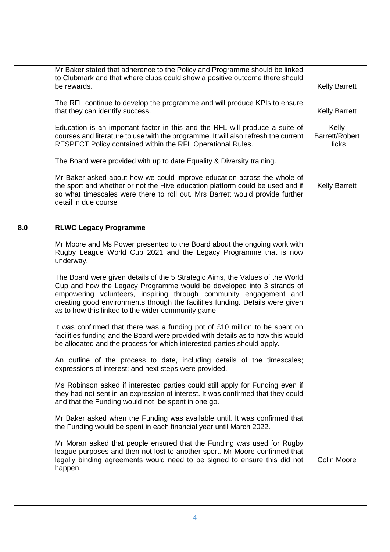|     | Mr Baker stated that adherence to the Policy and Programme should be linked<br>to Clubmark and that where clubs could show a positive outcome there should<br>be rewards.                                                                                                                                                                                          | <b>Kelly Barrett</b>                    |
|-----|--------------------------------------------------------------------------------------------------------------------------------------------------------------------------------------------------------------------------------------------------------------------------------------------------------------------------------------------------------------------|-----------------------------------------|
|     | The RFL continue to develop the programme and will produce KPIs to ensure<br>that they can identify success.                                                                                                                                                                                                                                                       | <b>Kelly Barrett</b>                    |
|     | Education is an important factor in this and the RFL will produce a suite of<br>courses and literature to use with the programme. It will also refresh the current<br>RESPECT Policy contained within the RFL Operational Rules.                                                                                                                                   | Kelly<br>Barrett/Robert<br><b>Hicks</b> |
|     | The Board were provided with up to date Equality & Diversity training.                                                                                                                                                                                                                                                                                             |                                         |
|     | Mr Baker asked about how we could improve education across the whole of<br>the sport and whether or not the Hive education platform could be used and if<br>so what timescales were there to roll out. Mrs Barrett would provide further<br>detail in due course                                                                                                   | <b>Kelly Barrett</b>                    |
| 8.0 | <b>RLWC Legacy Programme</b>                                                                                                                                                                                                                                                                                                                                       |                                         |
|     | Mr Moore and Ms Power presented to the Board about the ongoing work with<br>Rugby League World Cup 2021 and the Legacy Programme that is now<br>underway.                                                                                                                                                                                                          |                                         |
|     | The Board were given details of the 5 Strategic Aims, the Values of the World<br>Cup and how the Legacy Programme would be developed into 3 strands of<br>empowering volunteers, inspiring through community engagement and<br>creating good environments through the facilities funding. Details were given<br>as to how this linked to the wider community game. |                                         |
|     | It was confirmed that there was a funding pot of £10 million to be spent on<br>facilities funding and the Board were provided with details as to how this would<br>be allocated and the process for which interested parties should apply.                                                                                                                         |                                         |
|     | An outline of the process to date, including details of the timescales;<br>expressions of interest; and next steps were provided.                                                                                                                                                                                                                                  |                                         |
|     | Ms Robinson asked if interested parties could still apply for Funding even if<br>they had not sent in an expression of interest. It was confirmed that they could<br>and that the Funding would not be spent in one go.                                                                                                                                            |                                         |
|     | Mr Baker asked when the Funding was available until. It was confirmed that<br>the Funding would be spent in each financial year until March 2022.                                                                                                                                                                                                                  |                                         |
|     | Mr Moran asked that people ensured that the Funding was used for Rugby<br>league purposes and then not lost to another sport. Mr Moore confirmed that<br>legally binding agreements would need to be signed to ensure this did not<br>happen.                                                                                                                      | <b>Colin Moore</b>                      |
|     |                                                                                                                                                                                                                                                                                                                                                                    |                                         |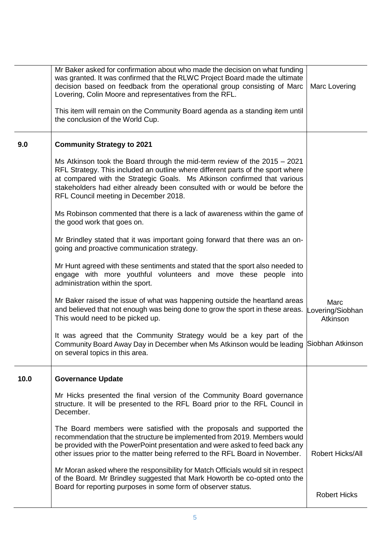|      | Mr Baker asked for confirmation about who made the decision on what funding<br>was granted. It was confirmed that the RLWC Project Board made the ultimate<br>decision based on feedback from the operational group consisting of Marc<br>Lovering, Colin Moore and representatives from the RFL.                                                                 | Marc Lovering                        |
|------|-------------------------------------------------------------------------------------------------------------------------------------------------------------------------------------------------------------------------------------------------------------------------------------------------------------------------------------------------------------------|--------------------------------------|
|      | This item will remain on the Community Board agenda as a standing item until<br>the conclusion of the World Cup.                                                                                                                                                                                                                                                  |                                      |
| 9.0  | <b>Community Strategy to 2021</b>                                                                                                                                                                                                                                                                                                                                 |                                      |
|      | Ms Atkinson took the Board through the mid-term review of the $2015 - 2021$<br>RFL Strategy. This included an outline where different parts of the sport where<br>at compared with the Strategic Goals. Ms Atkinson confirmed that various<br>stakeholders had either already been consulted with or would be before the<br>RFL Council meeting in December 2018. |                                      |
|      | Ms Robinson commented that there is a lack of awareness within the game of<br>the good work that goes on.                                                                                                                                                                                                                                                         |                                      |
|      | Mr Brindley stated that it was important going forward that there was an on-<br>going and proactive communication strategy.                                                                                                                                                                                                                                       |                                      |
|      | Mr Hunt agreed with these sentiments and stated that the sport also needed to<br>engage with more youthful volunteers and move these people into<br>administration within the sport.                                                                                                                                                                              |                                      |
|      | Mr Baker raised the issue of what was happening outside the heartland areas<br>and believed that not enough was being done to grow the sport in these areas.<br>This would need to be picked up.                                                                                                                                                                  | Marc<br>Lovering/Siobhan<br>Atkinson |
|      | It was agreed that the Community Strategy would be a key part of the<br>Community Board Away Day in December when Ms Atkinson would be leading Siobhan Atkinson<br>on several topics in this area.                                                                                                                                                                |                                      |
| 10.0 | <b>Governance Update</b>                                                                                                                                                                                                                                                                                                                                          |                                      |
|      | Mr Hicks presented the final version of the Community Board governance<br>structure. It will be presented to the RFL Board prior to the RFL Council in<br>December.                                                                                                                                                                                               |                                      |
|      | The Board members were satisfied with the proposals and supported the<br>recommendation that the structure be implemented from 2019. Members would<br>be provided with the PowerPoint presentation and were asked to feed back any<br>other issues prior to the matter being referred to the RFL Board in November.                                               | Robert Hicks/All                     |
|      | Mr Moran asked where the responsibility for Match Officials would sit in respect<br>of the Board. Mr Brindley suggested that Mark Howorth be co-opted onto the<br>Board for reporting purposes in some form of observer status.                                                                                                                                   | <b>Robert Hicks</b>                  |
|      |                                                                                                                                                                                                                                                                                                                                                                   |                                      |